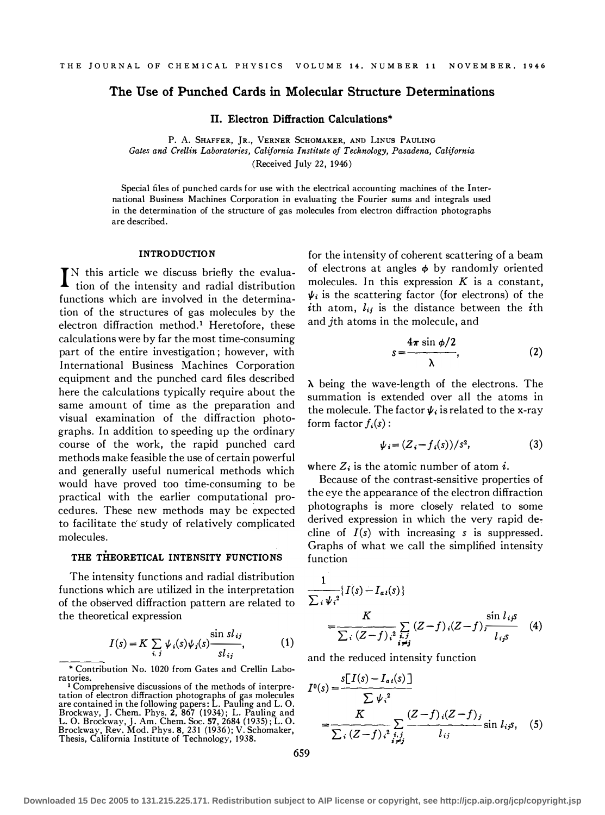# The Use of Punched Cards in Molecular Structure Determinations

II. Electron Diffraction Calculations\*

P. A. SHAFFER, JR., VERNER SCHOMAKER, AND LINUS PAULING Gates and Crellin Laboratories, California Institute of Technology, Pasadena, California (Received July 22, 1946)

Special files of punched cards for use with the electrical accounting machines of the International Business Machines Corporation in evaluating the Fourier sums and integrals used in the determination of the structure of gas molecules from electron diffraction photographs are described.

#### **INTRODUCTION**

I N this article we discuss briefly the evaluation of the intensity and radial distribution functions which are involved in the determination of the structures of gas molecules by the electron diffraction method.<sup>1</sup> Heretofore, these calculations were by far the most time-consuming part of the entire investigation; however, with International Business Machines Corporation equipment and the punched card files described here the calculations typically require about the same amount of time as the preparation and visual examination of the diffraction photographs. In addition to speeding up the ordinary course of the work, the rapid punched card methods make feasible the use of certain powerful and generally useful numerical methods which would have proved too time-consuming to be practical with the earlier computational procedures. These new methods may be expected to facilitate the study of relatively complicated molecules.

# THE THEORETICAL INTENSITY FUNCTIONS

The intensity functions and radial distribution functions which are utilized in the interpretation of the observed diffraction pattern are related to the theoretical expression

$$
I(s) = K \sum_{i,j} \psi_i(s) \psi_j(s) \frac{\sin sl_{ij}}{sl_{ij}},
$$
 (1)

\*Contribution No. 1020 from Gates and Crellin Laboratories.

1 Comprehensive discussions of the methods of interpretation of electron diffraction photographs of gas molecules are contained in the following papers: L. Pauling and L. 0. Brockway, J. Chem. Phys. 2, 867 (1934); L. Pauling and<br>L. O. Brockway, J. Am. Chem. Soc. 57, 2684 (1935); L. O.<br>Brockway, Rev. Mod. Phys. 8, 231 (1936); V. Schomaker,<br>Thesis, California Institute of Technology, 1938.

for the intensity of coherent scattering of a beam of electrons at angles  $\phi$  by randomly oriented molecules. In this expression  $K$  is a constant,  $\psi_i$  is the scattering factor (for electrons) of the ith atom,  $l_{ij}$  is the distance between the ith and jth atoms in the molecule, and

$$
s = \frac{4\pi \sin \phi/2}{\lambda}, \qquad (2)
$$

 $\lambda$  being the wave-length of the electrons. The summation is extended over all the atoms in the molecule. The factor  $\psi_i$  is related to the x-ray form factor  $f_i(s)$ :

$$
\psi_i = (Z_i - f_i(s))/s^2,\tag{3}
$$

where  $Z_i$  is the atomic number of atom *i*.

Because of the contrast-sensitive properties of the eye the appearance of the electron diffraction photographs is more closely related to some derived expression in which the very rapid decline of  $I(s)$  with increasing s is suppressed. Graphs of what we call the simplified intensity function

$$
\frac{1}{\sum_{i} \psi_{i}^{2}} \{ I(s) - I_{ai}(s) \}
$$
\n
$$
= \frac{K}{\sum_{i} (Z - f)_{i}^{2} \sum_{i,j} (Z - f)_{i} (Z - f)_{j} \frac{\sin l_{ij} s}{l_{ij} s}} \quad (4)
$$

and the reduced intensity function

$$
I^{0}(s) = \frac{s[I(s) - I_{a}(s)]}{\sum \psi_{i}^{2}}
$$
  
= 
$$
\frac{K}{\sum_{i} (Z - f)_{i}^{2} \sum_{i \neq j} (Z - f)_{i} (Z - f)_{j}} \sin l_{i} s
$$
, (5)

659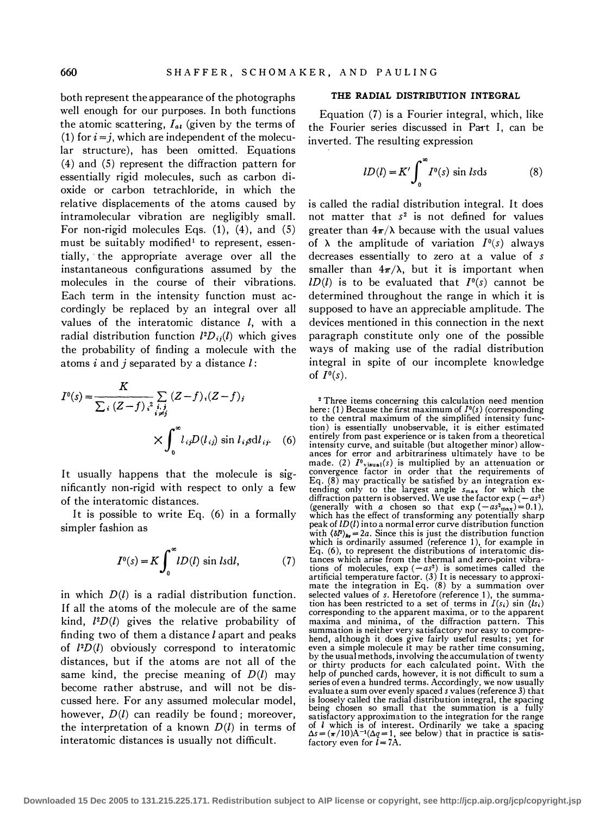both represent the appearance of the photographs well enough for our purposes. In both functions the atomic scattering,  $I_{at}$  (given by the terms of (1) for  $i = j$ , which are independent of the molecular structure), has been omitted. Equations (4) and (5) represent the diffraction pattern for essentially rigid molecules, such as carbon dioxide or carbon tetrachloride, in which the relative displacements of the atoms caused by intramolecular vibration are negligibly small. For non-rigid molecules Eqs. (1), (4), and (5) must be suitably modified<sup>1</sup> to represent, essentially, ·the appropriate average over all the instantaneous configurations assumed by the molecules in the course of their vibrations. Each term in the intensity function must accordingly be replaced by an integral over all values of the interatomic distance  $l$ , with a radial distribution function  $l^2D_{ij}(l)$  which gives the probability of finding a molecule with the atoms  $i$  and  $j$  separated by a distance  $l$ :

$$
I^{0}(s) = \frac{K}{\sum_{i} (Z - f)_{i}^{2} \sum_{i,j} (Z - f)_{i} (Z - f)_{j}}
$$
  
 
$$
\times \int_{0}^{\infty} l_{ij} D(l_{ij}) \sin l_{ij} \text{d}l_{ij}. \quad (6)
$$

It usually happens that the molecule is significantly non-rigid with respect to only a few of the interatomic distances.

It is possible to write Eq. (6) in a formally simpler fashion as

$$
I0(s) = K \int_0^{\infty} lD(l) \sin l s \mathrm{d}l,
$$
 (7)

in which  $D(l)$  is a radial distribution function. If all the atoms of the molecule are of the same kind,  $l^2D(l)$  gives the relative probability of finding two of them a distance  $l$  apart and peaks of  $l^2D(l)$  obviously correspond to interatomic distances, but if the atoms are not all of the same kind, the precise meaning of  $D(l)$  may become rather abstruse, and will not be discussed here. For any assumed molecular model, however,  $D(l)$  can readily be found; moreover, the interpretation of a known  $D(l)$  in terms of interatomic distances is usually not difficult.

### THE RADIAL DISTRIBUTION INTEGRAL

Equation (7) is a Fourier integral, which, like the Fourier series discussed in Part I, can be inverted. The resulting expression

$$
lD(l) = K' \int_0^\infty I^0(s) \sin ls \, ds \tag{8}
$$

is called the radial distribution integral. It does not matter that  $s^2$  is not defined for values greater than  $4\pi/\lambda$  because with the usual values of  $\lambda$  the amplitude of variation  $I^0(s)$  always decreases essentially to zero at a value of s smaller than  $4\pi/\lambda$ , but it is important when  $lD(l)$  is to be evaluated that  $I<sup>0</sup>(s)$  cannot be determined throughout the range in which it is supposed to have an appreciable amplitude. The devices mentioned in this connection in the next paragraph constitute only one of the possible ways of making use of the radial distribution integral in spite of our incomplete knowledge of  $I^0(s)$ .

2 Three items concerning this calculation need mention here: (1) Because the first maximum of  $I<sup>0</sup>(s)$  (corresponding to the central maximum of the simplified intensity function) is essentially unobservable, it is either estimated entirely from past experience or is taken from a theoretical intensity curve, and suitable (but altogether minor) allowances for error and arbitrariness ultimately have to be made. (2)  $I^0$ <sub>visual</sub>(s) is multiplied by an attenuation or convergence factor in order that the requirements of Eq. (8) may practically be satisfied by an integration extending only to the largest angle  $s_{\text{max}}$  for which the diffraction pattern is observed. We use the factor  $\exp(-as^2)$ (generally with a chosen so that  $\exp(-as_{\max})=0.1$ ), which has the effect of transforming any potentially sharp peak of  $LD(l)$  into a normal error curve distribution function with  $\langle \delta l^2 \rangle_{\text{Av}} = 2a$ . Since this is just the distribution function which is ordinarily assumed (reference 1), for example in Eq. (6), to represent the distributions of interatomic distances which arise from the thermal and zero-point vibrations of molecules,  $exp(-as^2)$  is sometimes called the artificial temperature factor. (3) It is necessary to approximate the integration in Eq. (8) by a summation over selected values of s. Heretofore (reference 1), the summation has been restricted to a set of terms in  $I(s_i)$  sin  $(ls_i)$ corresponding to the apparent maxima, or to the apparent maxima and minima, of the diffraction pattern. This summation is neither very satisfactory nor easy to comprehend, although it does give fairly useful results; yet for even a simple molecule it may be rather time consuming, by the usual methods, involving the accumulation of twenty or thirty products for each calculated point. With the help of punched cards, however, it is not difficult to sum a series of even a hundred terms. Accordingly, we now usually evaluate a sum over evenly spaced s values (reference 3) that is loosely called the radial distribution integral, the spacing being chosen so small that the summation is a fully satisfactory approximation to the integration for the range of *l* which is of interest. Ordinarily we take a spacing  $\Delta s = (\pi/10)A^{-1}(\Delta q = 1)$ , see below) that in practice is satisfactory even for  $l = 7A$ .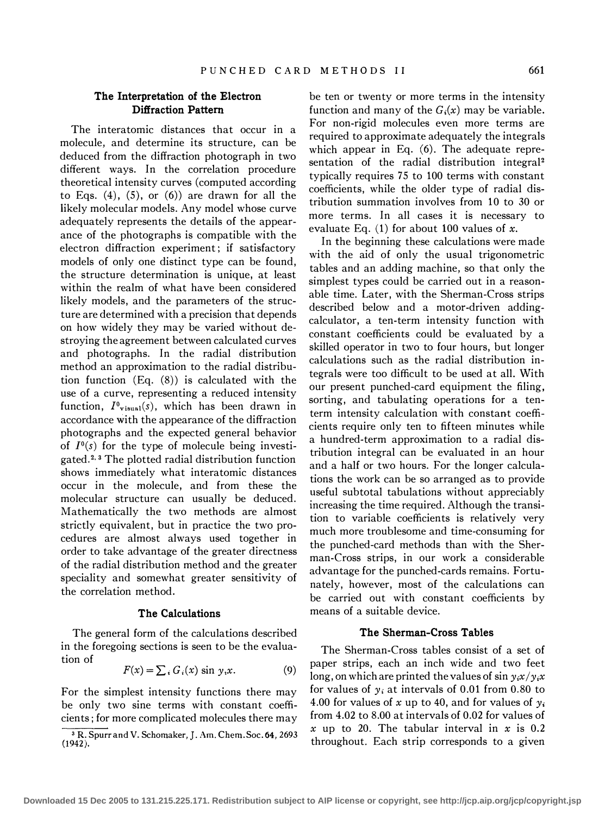## The Interpretation of the Electron Diffraction Pattern

The interatomic distances that occur in a molecule, and determine its structure, can be deduced from the diffraction photograph in two different ways. In the correlation procedure theoretical intensity curves (computed according to Eqs.  $(4)$ ,  $(5)$ , or  $(6)$  are drawn for all the likely molecular models. Any model whose curve adequately represents the details of the appearance of the photographs is compatible with the electron diffraction experiment; if satisfactory models of only one distinct type can be found, the structure determination is unique, at least within the realm of what have been considered likely models, and the parameters of the structure are determined with a precision that depends on how widely they may be varied without destroying the agreement between calculated curves and photographs. In the radial distribution method an approximation to the radial distribution function (Eq. (8)) is calculated with the use of a curve, representing a reduced intensity function,  $I^0$ <sub>visual</sub>(s), which has been drawn in accordance with the appearance of the diffraction photographs and the expected general behavior of  $I^0(s)$  for the type of molecule being investigated.2· 3 The plotted radial distribution function shows immediately what interatomic distances occur in the molecule, and from these the molecular structure can usually be deduced. Mathematically the two methods are almost strictly equivalent, but in practice the two procedures are almost always used together in order to take advantage of the greater directness of the radial distribution method and the greater speciality and somewhat greater sensitivity of the correlation method.

## The Calculations

The general form of the calculations described in the foregoing sections is seen to be the evaluation of

$$
F(x) = \sum_{i} G_i(x) \sin y_i x.
$$
 (9)

For the simplest intensity functions there may be only two sine terms with constant coefficients; for more complicated molecules there may be ten or twenty or more terms in the intensity function and many of the  $G_i(x)$  may be variable. For non-rigid molecules even more terms are required to approximate adequately the integrals which appear in Eq. (6). The adequate representation of the radial distribution integral<sup>2</sup> typically requires 75 to 100 terms with constant coefficients, while the older type of radial distribution summation involves from 10 to 30 or more terms. In all cases it is necessary to evaluate Eq.  $(1)$  for about 100 values of x.

In the beginning these calculations were made with the aid of only the usual trigonometric t�bles and an adding machine, so that only the simplest types could be carried out in a reasonable �ime. Later, with the Sherman-Cross strips descnbed below and a motor-driven addingcalculator, a ten-term intensity function with constant coefficients could be evaluated by a skilled operator in two to four hours, but longer calculations such as the radial distribution integrals were too difficult to be used at all. With our present punched-card equipment the filing, sorting, and tabulating operations for a tenterm intensity calculation with constant coefficients require only ten to fifteen minutes while a hundred-term approximation to a radial distribution integral can be evaluated in an hour and a half or two hours. For the longer calculations the work can be so arranged as to provide useful subtotal tabulations without appreciably<br>increasing the time manimal. Although the twenti increasing the time required. Although the transition to variable coefficients is relatively very much more troublesome and time-consuming for the punched-card methods than with the Sherman-Cross strips, in our work a considerable advantage for the punched-cards remains. Fortunately, however, most of the calculations can be carried out with constant coefficients by means of a suitable device.

#### The Sherman-Cross Tables

The Sherman-Cross tables consist of a set of paper strips, each an inch wide and two feet long, on which are printed the values of sin  $y_i x / y_i x$ for values of  $y_i$  at intervals of 0.01 from 0.80 to 4.00 for values of x up to 40, and for values of  $y_i$ from 4.02 to 8.00 at intervals of 0.02 for values of x up to 20. The tabular interval in x is 0.2 throughout. Each strip corresponds to a given

 $\frac{1}{\sqrt{3}}$ <br>(194 R. Spurr and V. Schomaker, J. Am. Chem. Soc. 64, 2693 .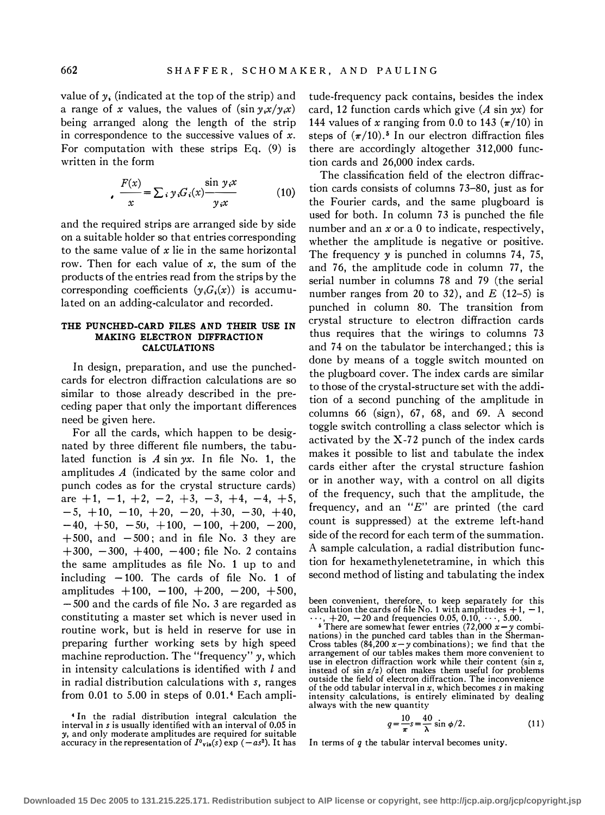value of  $y_i$  (indicated at the top of the strip) and a range of x values, the values of  $(\sin \gamma_i x / \gamma_i x)$ being arranged along the length of the strip in correspondence to the successive values of  $x$ . For computation with these strips Eq. (9) is written in the form

$$
\frac{F(x)}{x} = \sum_{i} y_i G_i(x) \frac{\sin y_i x}{y_i x}
$$
 (10)

and the required strips are arranged side by side on a suitable holder so that entries corresponding to the same value of  $x$  lie in the same horizontal row. Then for each value of  $x$ , the sum of the products of the entries read from the strips by the corresponding coefficients  $(y_iG_i(x))$  is accumulated on an adding-calculator and recorded.

#### THE PUNCHED-CARD FILES AND THEIR USE IN MAKING ELECTRON DIFFRACTION CALCULATIONS

In design, preparation, and use the punchedcards for electron diffraction calculations are so similar to those already described in the preceding paper that only the important differences need be given here.

For all the cards, which happen to be designated by three different file numbers, the tabulated function is A sin  $yx$ . In file No. 1, the amplitudes A (indicated by the same color and punch codes as for the crystal structure cards) are  $+1$ ,  $-1$ ,  $+2$ ,  $-2$ ,  $+3$ ,  $-3$ ,  $+4$ ,  $-4$ ,  $+5$ ,  $-5$ ,  $+10$ ,  $-10$ ,  $+20$ ,  $-20$ ,  $+30$ ,  $-30$ ,  $+40$ ,  $-40, +50, -50, +100, -100, +200, -200,$  $+500$ , and  $-500$ ; and in file No. 3 they are  $+300, -300, +400, -400$ ; file No. 2 contains the same amplitudes as file No. 1 up to and including  $-100$ . The cards of file No. 1 of amplitudes  $+100, -100, +200, -200, +500,$  $-500$  and the cards of file No. 3 are regarded as constituting a master set which is never used in routine work, but is held in reserve for use in preparing further working sets by high speed machine reproduction. The "frequency" y, which in intensity calculations is identified with  $l$  and in radial distribution calculations with s, ranges from 0.01 to 5.00 in steps of 0.01.4 Each amplitude-frequency pack contains, besides the index card, 12 function cards which give  $(A \sin yx)$  for 144 values of x ranging from 0.0 to 143  $(\pi/10)$  in steps of  $(\pi/10)$ .<sup>5</sup> In our electron diffraction files there are accordingly altogether 312,000 function cards and 26,000 index cards.

The classification field of the electron diffraction cards consists of columns 73-80, just as for the Fourier cards, and the same plugboard is used for both. In column 73 is punched the file number and an  $x$  or a 0 to indicate, respectively, whether the amplitude is negative or positive. The frequency y is punched in columns 74, 75, and 76, the amplitude code in column 77, the serial number in columns 78 and 79 (the serial number ranges from 20 to 32), and  $E$  (12-5) is punched in column 80. The transition from crystal structure to electron diffraction cards thus requires that the wirings to columns 73 and 74 on the tabulator be interchanged.; this is done by means of a toggle switch mounted on the plugboard cover. The index cards are similar to those of the crystal-structure set with the addition of a second punching of the amplitude in columns 66 (sign), 67, 68, and 69. A second toggle switch controlling a class selector which is activated by the X-72 punch of the index cards makes it possible to list and tabulate the index cards either after the crystal structure fashion or in another way, with a control on all digits of the frequency, such that the amplitude, the frequency, and an " $E$ " are printed (the card count is suppressed) at the extreme left-hand side of the record for each term of the summation. A sample calculation, a radial distribution function for hexamethylenetetramine, in which this second method of listing and tabulating the index

been convenient, therefore, to keep separately for this calculation the cards of file No. 1 with amplitudes  $+1$ ,  $-1$ ,  $\cdots$ ,  $+20$ ,  $-20$  and frequencies 0.05, 0.10,  $\cdots$ , 5.00.

<sup>5</sup> There are somewhat fewer entries (72,000  $x - y$  combinations) in the punched card tables than in the Sherman-Cross tables (84,200  $x - y$  combinations); we find that the arrangement of our tables makes them more convenient to use in electron diffraction work while their content (sin z, instead of  $\sin z/z$ ) often makes them useful for problems outside the field of electron diffraction. The inconvenience of the odd tabular interval in  $x$ , which becomes  $s$  in making intensity calculations, is entirely eliminated by dealing always with the new quantity

$$
q = \frac{10}{\pi} s = \frac{40}{\lambda} \sin \phi / 2.
$$
 (11)

In terms of  $q$  the tabular interval becomes unity.

<sup>4</sup>In the radial distribution integral calculation the interval in s is usually identified with an interval of 0.05 in y, and only moderate amplitudes are required for suitable accuracy in the representation of  $I^0$ <sub>vis</sub>(s) exp ( $-as^2$ ). It has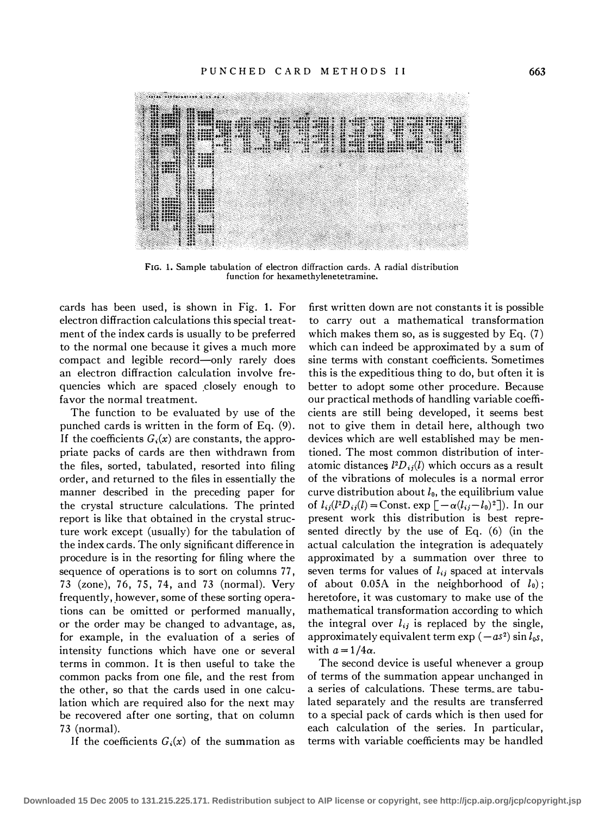

FIG. 1. Sample tabulation of electron diffraction cards. A radial distribution function for hexamethylenetetramine.

cards has been used, is shown in Fig. 1. For electron diffraction calculations this special treatment of the index cards is usually to be preferred to the normal one because it gives a much more compact and legible record-only rarely does an electron diffraction calculation involve frequencies which are spaced closely enough to favor the normal treatment.

The function to be evaluated by use of the punched cards is written in the form of Eq. (9). If the coefficients  $G_i(x)$  are constants, the appropriate packs of cards are then withdrawn from the files, sorted, tabulated, resorted into filing order, and returned to the files in essentially the manner described in the preceding paper for the crystal structure calculations. The printed report is like that obtained in the crystal structure work except (usually) for the tabulation of the index cards. The only significant difference in procedure is in the resorting for filing where the sequence of operations is to sort on columns 77, 73 (zone), 76, 75, 74, and 73 (normal). Very frequently, however, some of these sorting operations can be omitted or performed manually, or the order may be changed to advantage, as, for example, in the evaluation of a series of intensity functions which have one or several terms in common. It is then useful to take the common packs from one file, and the rest from the other, so that the cards used in one calculation which are required also for the next may be recovered after one sorting, that on column 73 (normal).

If the coefficients  $G_i(x)$  of the summation as

first written down are not constants it is possible to carry out a mathematical transformation which makes them so, as is suggested by Eq.  $(7)$ which can indeed be approximated by a sum of sine terms with constant coefficients. Sometimes this is the expeditious thing to do, but often it is better to adopt some other procedure. Because our practical methods of handling variable coefficients are still being developed, it seems best not to give them in detail here, although two devices which are well established may be mentioned. The most common distribution of interatomic distances  $l^2D_{ii}(l)$  which occurs as a result of the vibrations of molecules is a normal error curve distribution about  $l_0$ , the equilibrium value of  $l_{ij}(l^2D_{ij}(l) = \text{Const.} \exp\left[-\alpha(l_{ij}-l_0)^2\right]$ . In our present work this distribution is best represented directly by the use of Eq. (6) (in the actual calculation the integration is adequately approximated by a summation over three to seven terms for values of  $l_{ij}$  spaced at intervals of about 0.05A in the neighborhood of  $l_0$ ; heretofore, it was customary to make use of the mathematical transformation according to which the integral over  $l_{ij}$  is replaced by the single, approximately equivalent term  $\exp(-as^2) \sin l_0 s$ , with  $a = 1/4\alpha$ .

The second device is useful whenever a group of terms of the summation appear unchanged in a series of calculations. These terms\_ are tabulated separately and the results are transferred to a special pack of cards which is then used for each calculation of the series. In particular, terms with variable coefficients may be handled